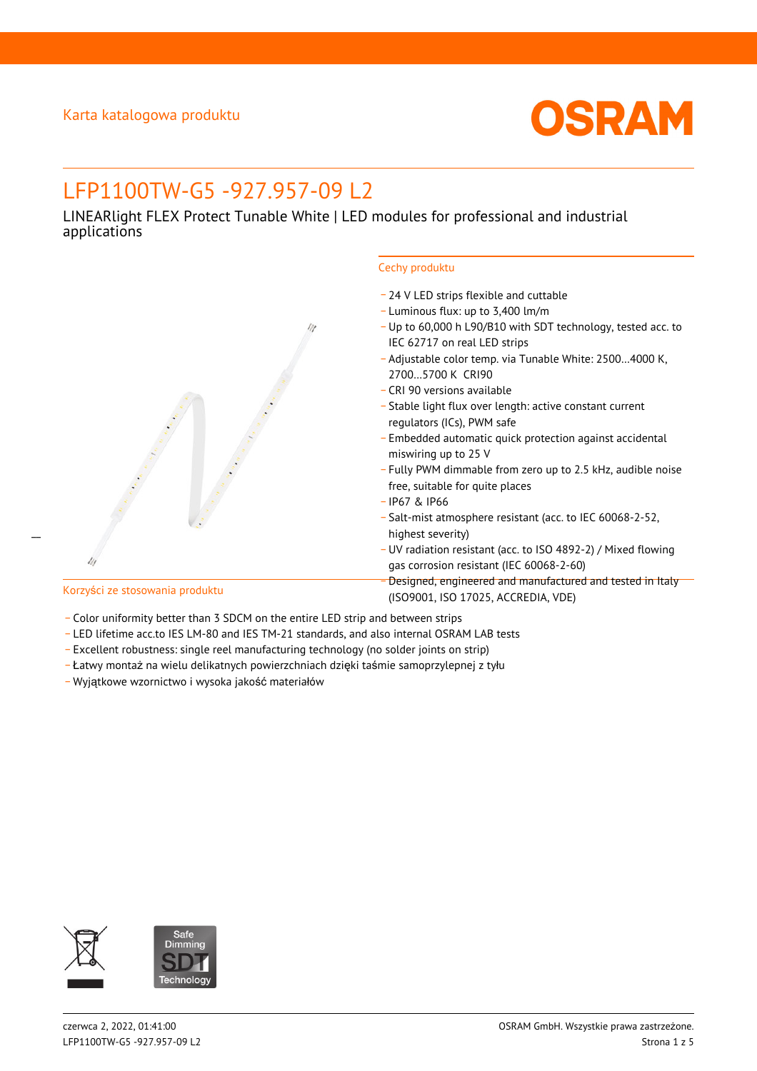

# LFP1100TW-G5 -927.957-09 L2

LINEARlight FLEX Protect Tunable White | LED modules for professional and industrial applications



- \_ 24 V LED strips flexible and cuttable
- \_ Luminous flux: up to 3,400 lm/m
- \_ Up to 60,000 h L90/B10 with SDT technology, tested acc. to IEC 62717 on real LED strips
- \_ Adjustable color temp. via Tunable White: 2500…4000 K, 2700…5700 K CRI90
- \_ CRI 90 versions available
- \_ Stable light flux over length: active constant current regulators (ICs), PWM safe
- \_ Embedded automatic quick protection against accidental miswiring up to 25 V
- \_ Fully PWM dimmable from zero up to 2.5 kHz, audible noise free, suitable for quite places
- \_ IP67 & IP66
- \_ Salt-mist atmosphere resistant (acc. to IEC 60068-2-52, highest severity)
- \_ UV radiation resistant (acc. to ISO 4892-2) / Mixed flowing gas corrosion resistant (IEC 60068-2-60)
- \_ Designed, engineered and manufactured and tested in Italy (ISO9001, ISO 17025, ACCREDIA, VDE)

 $\overline{a}$ 

### Korzyści ze stosowania produktu

- Color uniformity better than 3 SDCM on the entire LED strip and between strips
- \_ LED lifetime acc.to IES LM-80 and IES TM-21 standards, and also internal OSRAM LAB tests
- \_ Excellent robustness: single reel manufacturing technology (no solder joints on strip)
- \_ Łatwy montaż na wielu delikatnych powierzchniach dzięki taśmie samoprzylepnej z tyłu
- \_ Wyjątkowe wzornictwo i wysoka jakość materiałów

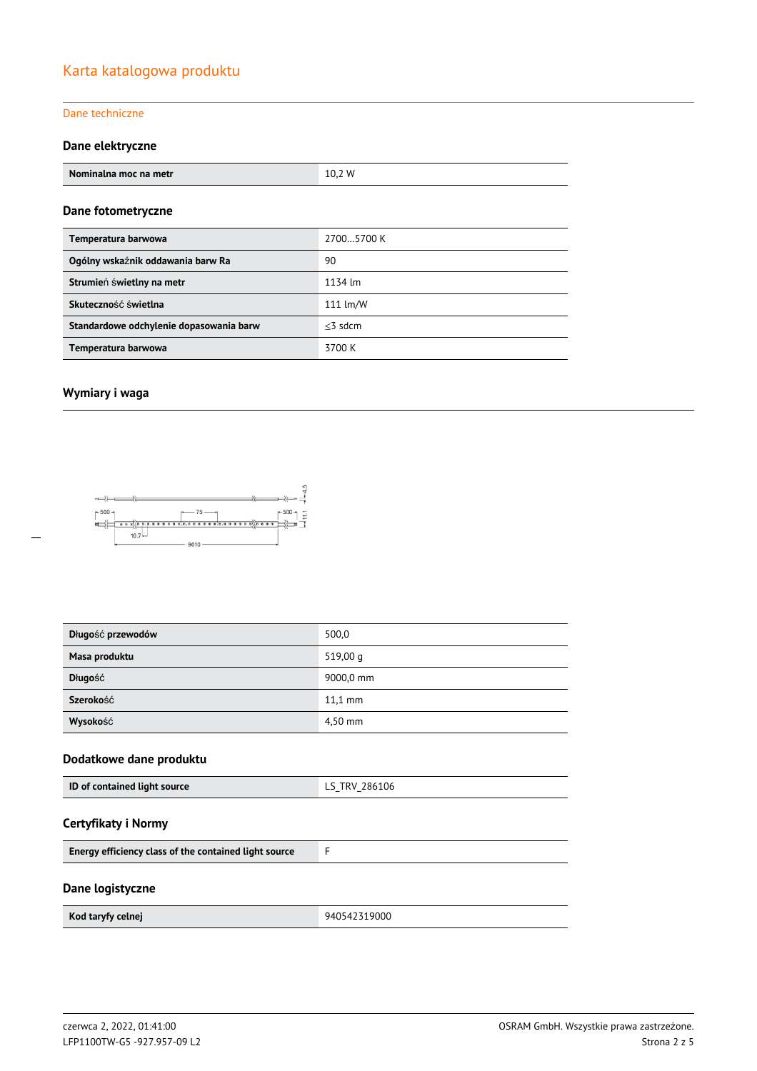### Karta katalogowa produktu

### Dane techniczne

### **Dane elektryczne**

| Nominalna moc na metr                   | 10,2 W     |  |  |
|-----------------------------------------|------------|--|--|
| Dane fotometryczne                      |            |  |  |
| Temperatura barwowa                     | 27005700 K |  |  |
| Ogólny wskaźnik oddawania barw Ra       | 90         |  |  |
| Strumień świetlny na metr               | 1134 lm    |  |  |
| Skuteczność świetlna                    | 111 lm/W   |  |  |
| Standardowe odchylenie dopasowania barw | $<$ 3 sdcm |  |  |
| Temperatura barwowa                     | 3700 K     |  |  |

### **Wymiary i waga**



| Długość przewodów | 500,0             |
|-------------------|-------------------|
| Masa produktu     | 519,00 g          |
| Długość           | 9000,0 mm         |
| Szerokość         | $11.1 \text{ mm}$ |
| Wysokość          | 4,50 mm           |

### **Dodatkowe dane produktu**

| ID of contained light source | LS TRV 286106<br>$-$<br>$\sim$ |
|------------------------------|--------------------------------|
|------------------------------|--------------------------------|

### **Certyfikaty i Normy**

### **Dane logistyczne**

 $\overline{\phantom{0}}$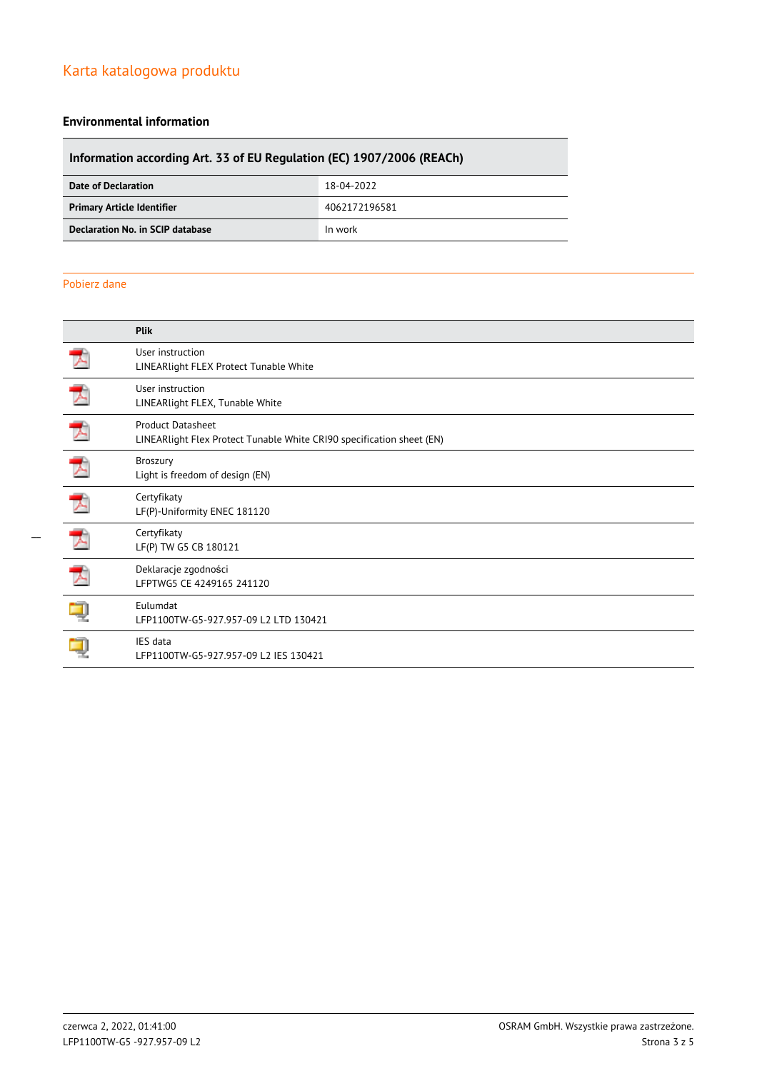# Karta katalogowa produktu

### **Environmental information**

# **Information according Art. 33 of EU Regulation (EC) 1907/2006 (REACh) Date of Declaration** 18-04-2022

| ------------------                | --------      |
|-----------------------------------|---------------|
| <b>Primary Article Identifier</b> | 4062172196581 |
| Declaration No. in SCIP database  | In work       |
|                                   |               |

### Pobierz dane

|   | Plik                                                                                       |
|---|--------------------------------------------------------------------------------------------|
|   | User instruction<br>LINEARlight FLEX Protect Tunable White                                 |
|   | User instruction<br>LINEARlight FLEX, Tunable White                                        |
|   | Product Datasheet<br>LINEARlight Flex Protect Tunable White CRI90 specification sheet (EN) |
| プ | <b>Broszury</b><br>Light is freedom of design (EN)                                         |
| プ | Certyfikaty<br>LF(P)-Uniformity ENEC 181120                                                |
|   | Certyfikaty<br>LF(P) TW G5 CB 180121                                                       |
|   | Deklaracje zgodności<br>LFPTWG5 CE 4249165 241120                                          |
|   | <b>Eulumdat</b><br>LFP1100TW-G5-927.957-09 L2 LTD 130421                                   |
|   | IES data<br>LFP1100TW-G5-927.957-09 L2 IES 130421                                          |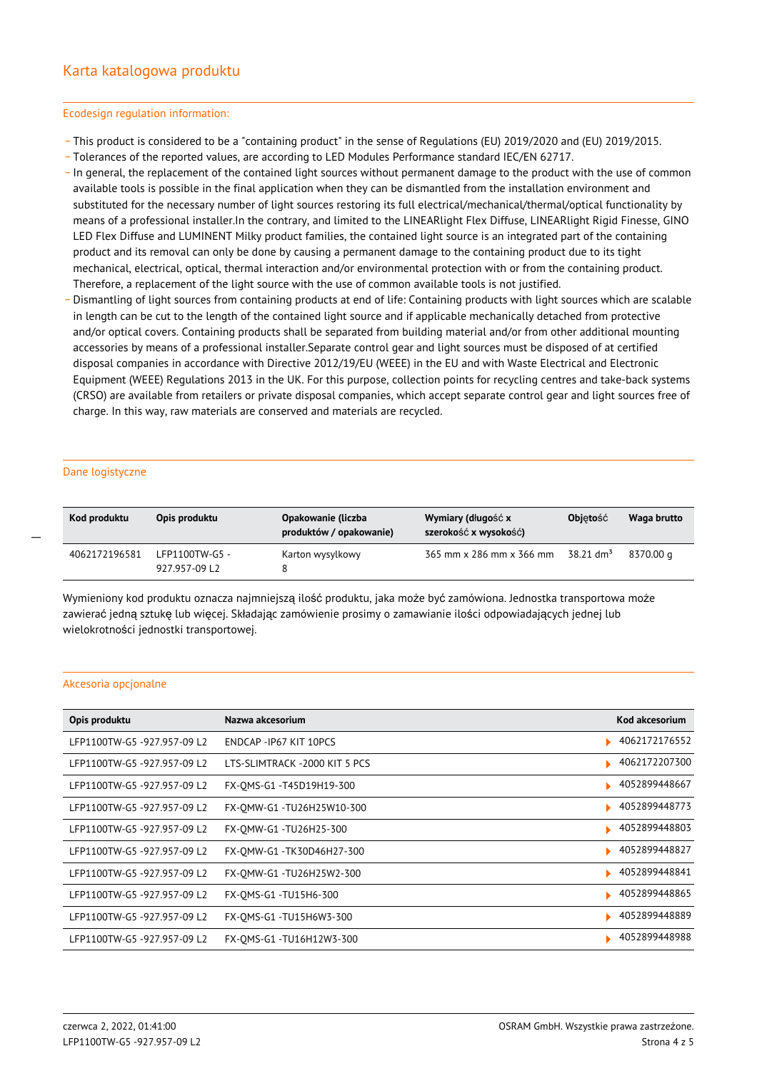#### Ecodesign regulation information:

- \_ This product is considered to be a "containing product" in the sense of Regulations (EU) 2019/2020 and (EU) 2019/2015.
- \_ Tolerances of the reported values, are according to LED Modules Performance standard IEC/EN 62717.
- \_ In general, the replacement of the contained light sources without permanent damage to the product with the use of common available tools is possible in the final application when they can be dismantled from the installation environment and substituted for the necessary number of light sources restoring its full electrical/mechanical/thermal/optical functionality by means of a professional installer.In the contrary, and limited to the LINEARlight Flex Diffuse, LINEARlight Rigid Finesse, GINO LED Flex Diffuse and LUMINENT Milky product families, the contained light source is an integrated part of the containing product and its removal can only be done by causing a permanent damage to the containing product due to its tight mechanical, electrical, optical, thermal interaction and/or environmental protection with or from the containing product. Therefore, a replacement of the light source with the use of common available tools is not justified.
- Dismantling of light sources from containing products at end of life: Containing products with light sources which are scalable in length can be cut to the length of the contained light source and if applicable mechanically detached from protective and/or optical covers. Containing products shall be separated from building material and/or from other additional mounting accessories by means of a professional installer.Separate control gear and light sources must be disposed of at certified disposal companies in accordance with Directive 2012/19/EU (WEEE) in the EU and with Waste Electrical and Electronic Equipment (WEEE) Regulations 2013 in the UK. For this purpose, collection points for recycling centres and take-back systems (CRSO) are available from retailers or private disposal companies, which accept separate control gear and light sources free of charge. In this way, raw materials are conserved and materials are recycled.

#### Dane logistyczne

 $\overline{a}$ 

| Kod produktu  | Opis produktu                   | Opakowanie (liczba<br>produktów / opakowanie) | Wymiary (długość x<br>szerokość x wysokość) | <b>Objetość</b> | Waga brutto |
|---------------|---------------------------------|-----------------------------------------------|---------------------------------------------|-----------------|-------------|
| 4062172196581 | LFP1100TW-G5 -<br>927.957-09 L2 | Karton wysylkowy                              | 365 mm x 286 mm x 366 mm                    |                 | 8370.00 g   |

Wymieniony kod produktu oznacza najmniejszą ilość produktu, jaka może być zamówiona. Jednostka transportowa może zawierać jedną sztukę lub więcej. Składając zamówienie prosimy o zamawianie ilości odpowiadających jednej lub wielokrotności jednostki transportowej.

#### Akcesoria opcjonalne

| Opis produktu               | Nazwa akcesorium               | Kod akcesorium |
|-----------------------------|--------------------------------|----------------|
| LFP1100TW-G5 -927.957-09 L2 | ENDCAP - IP67 KIT 10PCS        | 4062172176552  |
| LFP1100TW-G5 -927.957-09 L2 | LTS-SLIMTRACK - 2000 KIT 5 PCS | 4062172207300  |
| LFP1100TW-G5 -927.957-09 L2 | FX-OMS-G1 -T45D19H19-300       | 4052899448667  |
| LFP1100TW-G5 -927.957-09 L2 | FX-OMW-G1-TU26H25W10-300       | 4052899448773  |
| LFP1100TW-G5-927.957-09 L2  | FX-OMW-G1 -TU26H25-300         | 4052899448803  |
| LFP1100TW-G5 -927.957-09 L2 | FX-OMW-G1 -TK30D46H27-300      | 4052899448827  |
| LFP1100TW-G5 -927.957-09 L2 | FX-OMW-G1 -TU26H25W2-300       | 4052899448841  |
| LFP1100TW-G5-927.957-09 L2  | FX-OMS-G1 -TU15H6-300          | 4052899448865  |
| LFP1100TW-G5 -927.957-09 L2 | FX-OMS-G1 -TU15H6W3-300        | 4052899448889  |
| LFP1100TW-G5-927.957-09L2   | FX-OMS-G1 -TU16H12W3-300       | 4052899448988  |